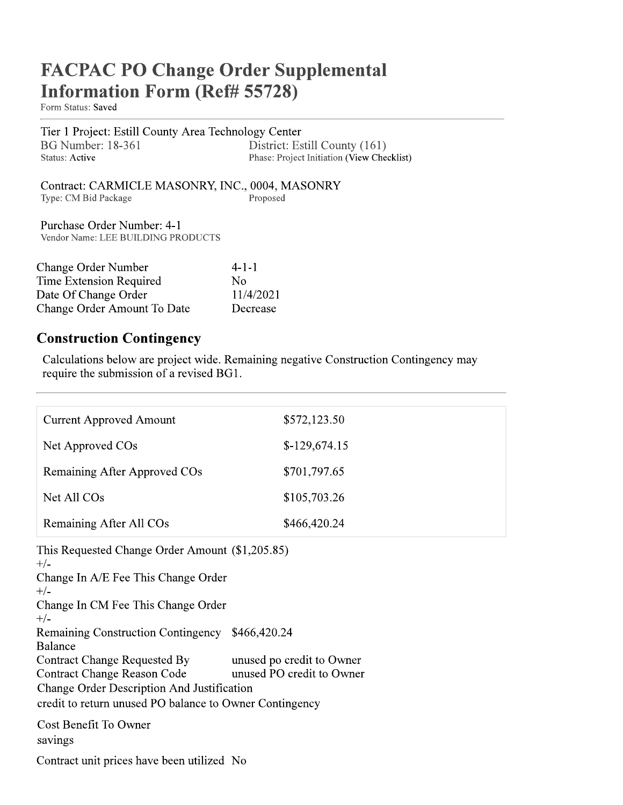# **FACPAC PO Change Order Supplemental Information Form (Ref# 55728)**

Form Status: Saved

Tier 1 Project: Estill County Area Technology Center BG Number: 18-361 District: Estill County (161) **Status: Active** Phase: Project Initiation (View Checklist)

Contract: CARMICLE MASONRY, INC., 0004, MASONRY Proposed Type: CM Bid Package

Purchase Order Number: 4-1 Vendor Name: LEE BUILDING PRODUCTS

| <b>Change Order Number</b>  | $4 - 1 - 1$ |
|-----------------------------|-------------|
| Time Extension Required     | N٥          |
| Date Of Change Order        | 11/4/2021   |
| Change Order Amount To Date | Decrease    |

### **Construction Contingency**

Calculations below are project wide. Remaining negative Construction Contingency may require the submission of a revised BG1.

| <b>Current Approved Amount</b>                                                                                                                                                                                                                                                                                                                                                                                     | \$572,123.50                                           |  |
|--------------------------------------------------------------------------------------------------------------------------------------------------------------------------------------------------------------------------------------------------------------------------------------------------------------------------------------------------------------------------------------------------------------------|--------------------------------------------------------|--|
| Net Approved COs                                                                                                                                                                                                                                                                                                                                                                                                   | $$-129,674.15$                                         |  |
| Remaining After Approved COs                                                                                                                                                                                                                                                                                                                                                                                       | \$701,797.65                                           |  |
| Net All COs                                                                                                                                                                                                                                                                                                                                                                                                        | \$105,703.26                                           |  |
| Remaining After All COs                                                                                                                                                                                                                                                                                                                                                                                            | \$466,420.24                                           |  |
| This Requested Change Order Amount (\$1,205.85)<br>$+/-$<br>Change In A/E Fee This Change Order<br>$+/-$<br>Change In CM Fee This Change Order<br>$+/-$<br>Remaining Construction Contingency \$466,420.24<br><b>Balance</b><br><b>Contract Change Requested By</b><br><b>Contract Change Reason Code</b><br>Change Order Description And Justification<br>credit to return unused PO balance to Owner Contingency | unused po credit to Owner<br>unused PO credit to Owner |  |
| Cost Benefit To Owner<br>savings                                                                                                                                                                                                                                                                                                                                                                                   |                                                        |  |
| Contract unit prices have been utilized No                                                                                                                                                                                                                                                                                                                                                                         |                                                        |  |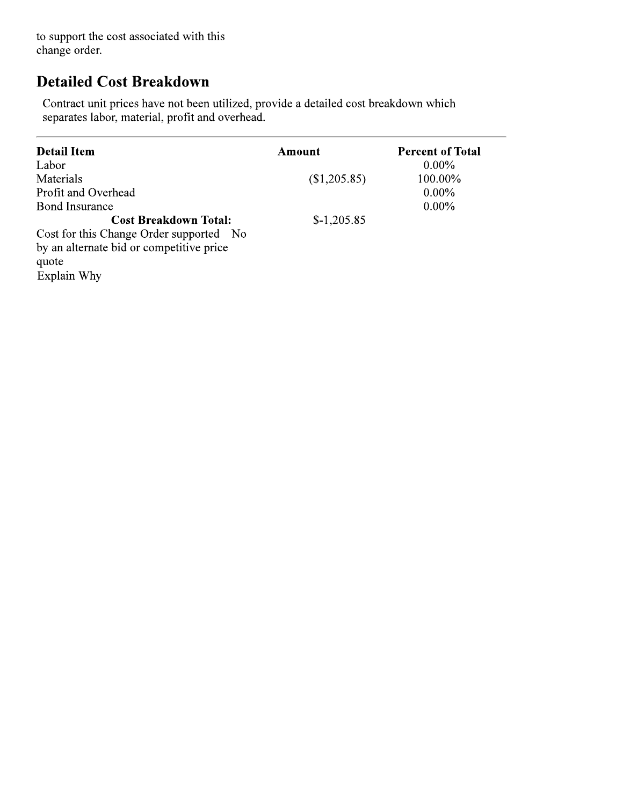to support the cost associated with this change order.

## **Detailed Cost Breakdown**

Contract unit prices have not been utilized, provide a detailed cost breakdown which separates labor, material, profit and overhead.

| <b>Detail Item</b><br>Labor              | Amount       | <b>Percent of Total</b><br>$0.00\%$ |
|------------------------------------------|--------------|-------------------------------------|
| Materials                                | (\$1,205.85) | 100.00%                             |
| Profit and Overhead                      |              | $0.00\%$                            |
| <b>Bond Insurance</b>                    |              | $0.00\%$                            |
| <b>Cost Breakdown Total:</b>             | $$-1,205.85$ |                                     |
| Cost for this Change Order supported No  |              |                                     |
| by an alternate bid or competitive price |              |                                     |
| quote                                    |              |                                     |
| Explain Why                              |              |                                     |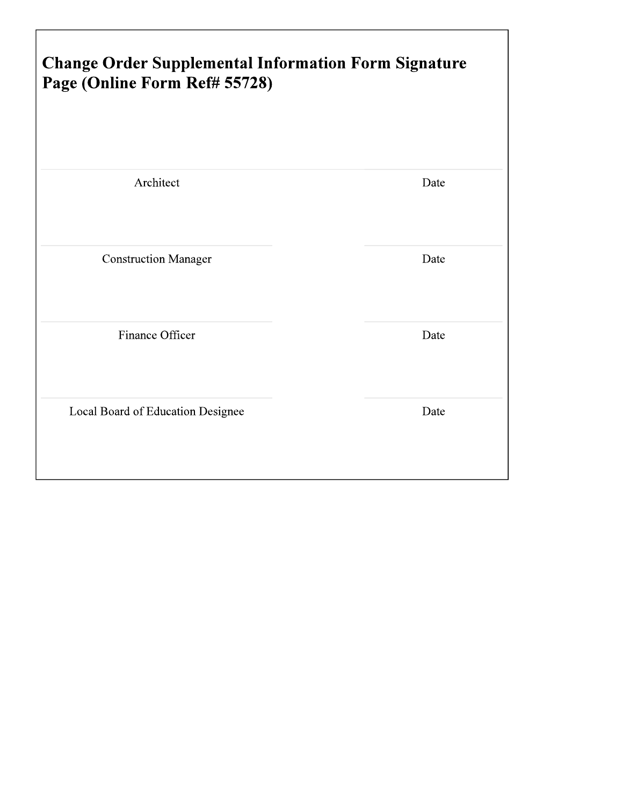| <b>Change Order Supplemental Information Form Signature</b><br>Page (Online Form Ref# 55728) |      |
|----------------------------------------------------------------------------------------------|------|
| Architect                                                                                    | Date |
| <b>Construction Manager</b>                                                                  | Date |
| Finance Officer                                                                              | Date |
| Local Board of Education Designee                                                            | Date |